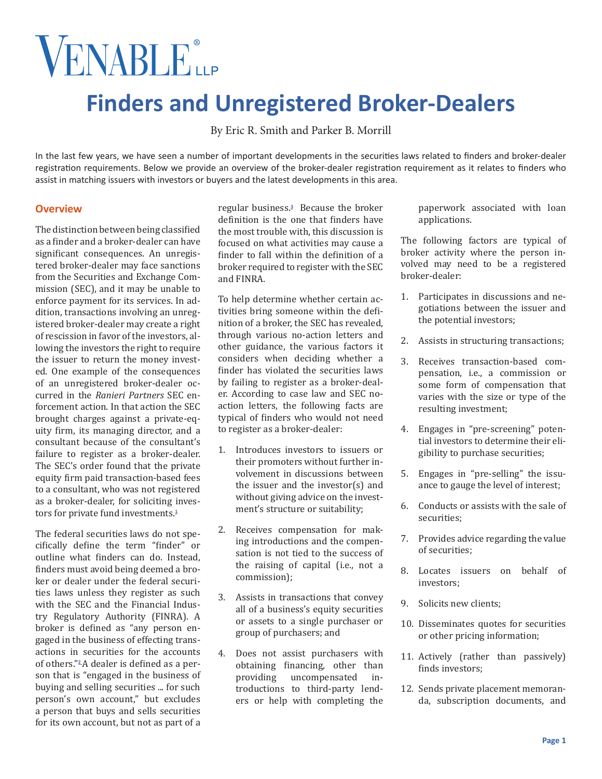# VENABLEL

# **Finders and Unregistered Broker-Dealers**

By Eric R. Smith and Parker B. Morrill

In the last few years, we have seen a number of important developments in the securities laws related to finders and broker-dealer registration requirements. Below we provide an overview of the broker-dealer registration requirement as it relates to finders who assist in matching issuers with investors or buyers and the latest developments in this area.

# **Overview**

The distinction between being classified as a finder and a broker-dealer can have significant consequences. An unregistered broker-dealer may face sanctions from the Securities and Exchange Commission (SEC), and it may be unable to enforce payment for its services. In addition, transactions involving an unregistered broker-dealer may create a right of rescission in favor of the investors, allowing the investors the right to require the issuer to return the money invested. One example of the consequences of an unregistered broker-dealer occurred in the *Ranieri Partners* SEC enforcement action. In that action the SEC brought charges against a private-equity firm, its managing director, and a consultant because of the consultant's failure to register as a broker-dealer. The SEC's order found that the private equity firm paid transaction-based fees to a consultant, who was not registered as a broker-dealer, for soliciting investors for private fund investments.**[1](#page-4-0)**

The federal securities laws do not specifically define the term "finder" or outline what finders can do. Instead, finders must avoid being deemed a broker or dealer under the federal securities laws unless they register as such with the SEC and the Financial Industry Regulatory Authority (FINRA). A broker is defined as "any person engaged in the business of effecting transactions in securities for the accounts of others."**[2](#page-4-1)**A dealer is defined as a person that is "engaged in the business of buying and selling securities ... for such person's own account," but excludes a person that buys and sells securities for its own account, but not as part of a

regular business.**[3](#page-4-2)** Because the broker definition is the one that finders have the most trouble with, this discussion is focused on what activities may cause a finder to fall within the definition of a broker required to register with the SEC and FINRA.

To help determine whether certain activities bring someone within the definition of a broker, the SEC has revealed, through various no-action letters and other guidance, the various factors it considers when deciding whether a finder has violated the securities laws by failing to register as a broker-dealer. According to case law and SEC noaction letters, the following facts are typical of finders who would not need to register as a broker-dealer:

- 1. Introduces investors to issuers or their promoters without further involvement in discussions between the issuer and the investor(s) and without giving advice on the investment's structure or suitability;
- 2. Receives compensation for making introductions and the compensation is not tied to the success of the raising of capital (i.e., not a commission);
- 3. Assists in transactions that convey all of a business's equity securities or assets to a single purchaser or group of purchasers; and
- 4. Does not assist purchasers with obtaining financing, other than providing uncompensated introductions to third-party lenders or help with completing the

paperwork associated with loan applications.

The following factors are typical of broker activity where the person involved may need to be a registered broker-dealer:

- 1. Participates in discussions and negotiations between the issuer and the potential investors;
- 2. Assists in structuring transactions;
- 3. Receives transaction-based compensation, i.e., a commission or some form of compensation that varies with the size or type of the resulting investment;
- 4. Engages in "pre-screening" potential investors to determine their eligibility to purchase securities;
- 5. Engages in "pre-selling" the issuance to gauge the level of interest;
- 6. Conducts or assists with the sale of securities;
- 7. Provides advice regarding the value of securities;
- 8. Locates issuers on behalf of investors;
- 9. Solicits new clients;
- 10. Disseminates quotes for securities or other pricing information;
- 11. Actively (rather than passively) finds investors;
- 12. Sends private placement memoranda, subscription documents, and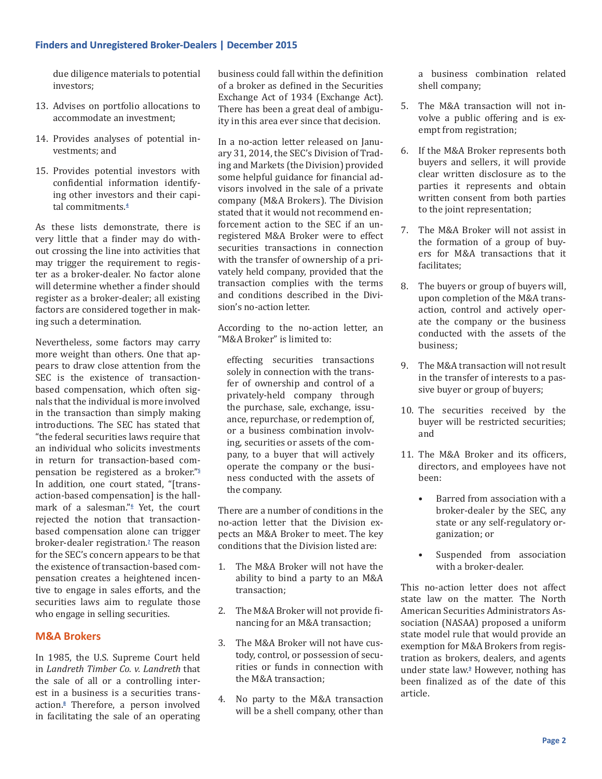due diligence materials to potential investors;

- 13. Advises on portfolio allocations to accommodate an investment;
- 14. Provides analyses of potential investments; and
- 15. Provides potential investors with confidential information identifying other investors and their capital commitments.**[4](#page-4-3)**

As these lists demonstrate, there is very little that a finder may do without crossing the line into activities that may trigger the requirement to register as a broker-dealer. No factor alone will determine whether a finder should register as a broker-dealer; all existing factors are considered together in making such a determination.

Nevertheless, some factors may carry more weight than others. One that appears to draw close attention from the SEC is the existence of transactionbased compensation, which often signals that the individual is more involved in the transaction than simply making introductions. The SEC has stated that "the federal securities laws require that an individual who solicits investments in return for transaction-based compensation be registered as a broker."**[5](#page-4-4)** In addition, one court stated, "[transaction-based compensation] is the hallmark of a salesman."**[6](#page-4-5)** Yet, the court rejected the notion that transactionbased compensation alone can trigger broker-dealer registration.**[7](#page-4-6)** The reason for the SEC's concern appears to be that the existence of transaction-based compensation creates a heightened incentive to engage in sales efforts, and the securities laws aim to regulate those who engage in selling securities.

# **M&A Brokers**

In 1985, the U.S. Supreme Court held in *Landreth Timber Co. v. Landreth* that the sale of all or a controlling interest in a business is a securities transaction.**[8](#page-4-7)** Therefore, a person involved in facilitating the sale of an operating business could fall within the definition of a broker as defined in the Securities Exchange Act of 1934 (Exchange Act). There has been a great deal of ambiguity in this area ever since that decision.

In a no-action letter released on January 31, 2014, the SEC's Division of Trading and Markets (the Division) provided some helpful guidance for financial advisors involved in the sale of a private company (M&A Brokers). The Division stated that it would not recommend enforcement action to the SEC if an unregistered M&A Broker were to effect securities transactions in connection with the transfer of ownership of a privately held company, provided that the transaction complies with the terms and conditions described in the Division's no-action letter.

According to the no-action letter, an "M&A Broker" is limited to:

effecting securities transactions solely in connection with the transfer of ownership and control of a privately-held company through the purchase, sale, exchange, issuance, repurchase, or redemption of, or a business combination involving, securities or assets of the company, to a buyer that will actively operate the company or the business conducted with the assets of the company.

There are a number of conditions in the no-action letter that the Division expects an M&A Broker to meet. The key conditions that the Division listed are:

- 1. The M&A Broker will not have the ability to bind a party to an M&A transaction;
- 2. The M&A Broker will not provide financing for an M&A transaction;
- 3. The M&A Broker will not have custody, control, or possession of securities or funds in connection with the M&A transaction;
- 4. No party to the M&A transaction will be a shell company, other than

a business combination related shell company;

- 5. The M&A transaction will not involve a public offering and is exempt from registration;
- 6. If the M&A Broker represents both buyers and sellers, it will provide clear written disclosure as to the parties it represents and obtain written consent from both parties to the joint representation;
- 7. The M&A Broker will not assist in the formation of a group of buyers for M&A transactions that it facilitates;
- 8. The buyers or group of buyers will, upon completion of the M&A transaction, control and actively operate the company or the business conducted with the assets of the business;
- 9. The M&A transaction will not result in the transfer of interests to a passive buyer or group of buyers;
- 10. The securities received by the buyer will be restricted securities; and
- 11. The M&A Broker and its officers, directors, and employees have not been:
	- Barred from association with a broker-dealer by the SEC, any state or any self-regulatory organization; or
	- Suspended from association with a broker-dealer.

This no-action letter does not affect state law on the matter. The North American Securities Administrators Association (NASAA) proposed a uniform state model rule that would provide an exemption for M&A Brokers from registration as brokers, dealers, and agents under state law.**[9](#page-4-8)** However, nothing has been finalized as of the date of this article.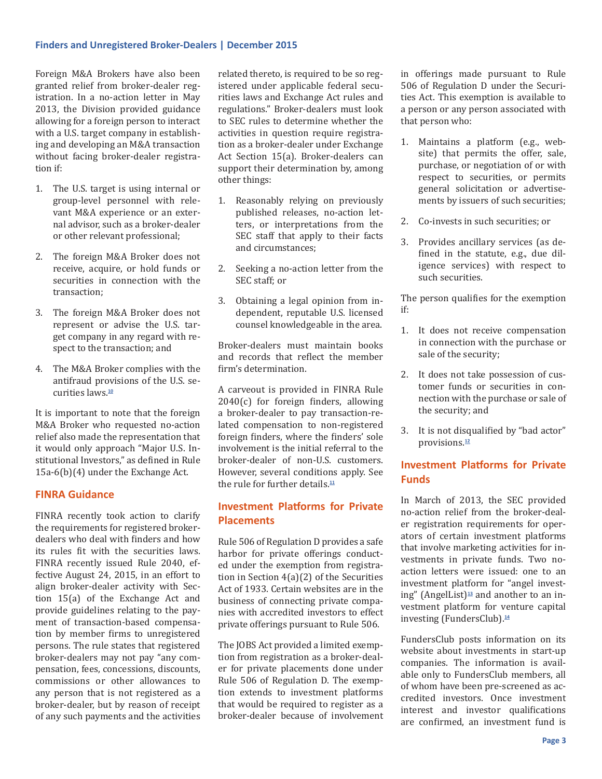Foreign M&A Brokers have also been granted relief from broker-dealer registration. In a no-action letter in May 2013, the Division provided guidance allowing for a foreign person to interact with a U.S. target company in establishing and developing an M&A transaction without facing broker-dealer registration if:

- 1. The U.S. target is using internal or group-level personnel with relevant M&A experience or an external advisor, such as a broker-dealer or other relevant professional;
- 2. The foreign M&A Broker does not receive, acquire, or hold funds or securities in connection with the transaction;
- 3. The foreign M&A Broker does not represent or advise the U.S. target company in any regard with respect to the transaction; and
- 4. The M&A Broker complies with the antifraud provisions of the U.S. securities laws.**[10](#page-5-0)**

It is important to note that the foreign M&A Broker who requested no-action relief also made the representation that it would only approach "Major U.S. Institutional Investors," as defined in Rule 15a-6(b)(4) under the Exchange Act.

# **FINRA Guidance**

FINRA recently took action to clarify the requirements for registered brokerdealers who deal with finders and how its rules fit with the securities laws. FINRA recently issued Rule 2040, effective August 24, 2015, in an effort to align broker-dealer activity with Section 15(a) of the Exchange Act and provide guidelines relating to the payment of transaction-based compensation by member firms to unregistered persons. The rule states that registered broker-dealers may not pay "any compensation, fees, concessions, discounts, commissions or other allowances to any person that is not registered as a broker-dealer, but by reason of receipt of any such payments and the activities related thereto, is required to be so registered under applicable federal securities laws and Exchange Act rules and regulations." Broker-dealers must look to SEC rules to determine whether the activities in question require registration as a broker-dealer under Exchange Act Section 15(a). Broker-dealers can support their determination by, among other things:

- 1. Reasonably relying on previously published releases, no-action letters, or interpretations from the SEC staff that apply to their facts and circumstances;
- 2. Seeking a no-action letter from the SEC staff; or
- 3. Obtaining a legal opinion from independent, reputable U.S. licensed counsel knowledgeable in the area.

Broker-dealers must maintain books and records that reflect the member firm's determination.

A carveout is provided in FINRA Rule 2040(c) for foreign finders, allowing a broker-dealer to pay transaction-related compensation to non-registered foreign finders, where the finders' sole involvement is the initial referral to the broker-dealer of non-U.S. customers. However, several conditions apply. See the rule for further details  $\frac{11}{11}$  $\frac{11}{11}$  $\frac{11}{11}$ 

# **Investment Platforms for Private Placements**

Rule 506 of Regulation D provides a safe harbor for private offerings conducted under the exemption from registration in Section 4(a)(2) of the Securities Act of 1933. Certain websites are in the business of connecting private companies with accredited investors to effect private offerings pursuant to Rule 506.

The JOBS Act provided a limited exemption from registration as a broker-dealer for private placements done under Rule 506 of Regulation D. The exemption extends to investment platforms that would be required to register as a broker-dealer because of involvement in offerings made pursuant to Rule 506 of Regulation D under the Securities Act. This exemption is available to a person or any person associated with that person who:

- 1. Maintains a platform (e.g., website) that permits the offer, sale, purchase, or negotiation of or with respect to securities, or permits general solicitation or advertisements by issuers of such securities;
- 2. Co-invests in such securities; or
- 3. Provides ancillary services (as defined in the statute, e.g., due diligence services) with respect to such securities.

The person qualifies for the exemption if:

- 1. It does not receive compensation in connection with the purchase or sale of the security;
- 2. It does not take possession of customer funds or securities in connection with the purchase or sale of the security; and
- 3. It is not disqualified by "bad actor" provisions.**[12](#page-5-2)**

# **Investment Platforms for Private Funds**

In March of 2013, the SEC provided no-action relief from the broker-dealer registration requirements for operators of certain investment platforms that involve marketing activities for investments in private funds. Two noaction letters were issued: one to an investment platform for "angel investing" (AngelList)**[13](#page-5-3)** and another to an investment platform for venture capital investing (FundersClub).**[14](#page-5-4)**

FundersClub posts information on its website about investments in start-up companies. The information is available only to FundersClub members, all of whom have been pre-screened as accredited investors. Once investment interest and investor qualifications are confirmed, an investment fund is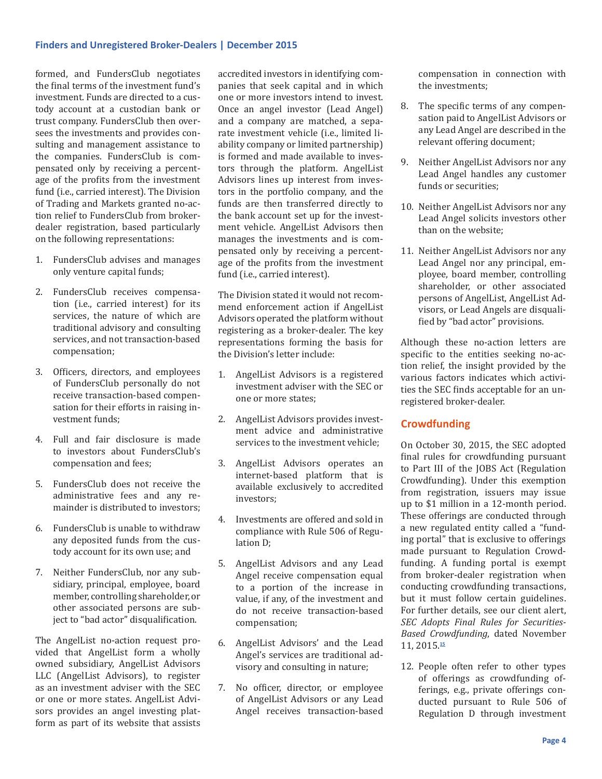formed, and FundersClub negotiates the final terms of the investment fund's investment. Funds are directed to a custody account at a custodian bank or trust company. FundersClub then oversees the investments and provides consulting and management assistance to the companies. FundersClub is compensated only by receiving a percentage of the profits from the investment fund (i.e., carried interest). The Division of Trading and Markets granted no-action relief to FundersClub from brokerdealer registration, based particularly on the following representations:

- 1. FundersClub advises and manages only venture capital funds;
- 2. FundersClub receives compensation (i.e., carried interest) for its services, the nature of which are traditional advisory and consulting services, and not transaction-based compensation;
- 3. Officers, directors, and employees of FundersClub personally do not receive transaction-based compensation for their efforts in raising investment funds;
- 4. Full and fair disclosure is made to investors about FundersClub's compensation and fees;
- 5. FundersClub does not receive the administrative fees and any remainder is distributed to investors;
- 6. FundersClub is unable to withdraw any deposited funds from the custody account for its own use; and
- 7. Neither FundersClub, nor any subsidiary, principal, employee, board member, controlling shareholder, or other associated persons are subject to "bad actor" disqualification.

The AngelList no-action request provided that AngelList form a wholly owned subsidiary, AngelList Advisors LLC (AngelList Advisors), to register as an investment adviser with the SEC or one or more states. AngelList Advisors provides an angel investing platform as part of its website that assists accredited investors in identifying companies that seek capital and in which one or more investors intend to invest. Once an angel investor (Lead Angel) and a company are matched, a separate investment vehicle (i.e., limited liability company or limited partnership) is formed and made available to investors through the platform. AngelList Advisors lines up interest from investors in the portfolio company, and the funds are then transferred directly to the bank account set up for the investment vehicle. AngelList Advisors then manages the investments and is compensated only by receiving a percentage of the profits from the investment fund (i.e., carried interest).

The Division stated it would not recommend enforcement action if AngelList Advisors operated the platform without registering as a broker-dealer. The key representations forming the basis for the Division's letter include:

- 1. AngelList Advisors is a registered investment adviser with the SEC or one or more states;
- 2. AngelList Advisors provides investment advice and administrative services to the investment vehicle;
- 3. AngelList Advisors operates an internet-based platform that is available exclusively to accredited investors;
- 4. Investments are offered and sold in compliance with Rule 506 of Regulation D;
- 5. AngelList Advisors and any Lead Angel receive compensation equal to a portion of the increase in value, if any, of the investment and do not receive transaction-based compensation;
- 6. AngelList Advisors' and the Lead Angel's services are traditional advisory and consulting in nature;
- 7. No officer, director, or employee of AngelList Advisors or any Lead Angel receives transaction-based

compensation in connection with the investments;

- 8. The specific terms of any compensation paid to AngelList Advisors or any Lead Angel are described in the relevant offering document;
- 9. Neither AngelList Advisors nor any Lead Angel handles any customer funds or securities;
- 10. Neither AngelList Advisors nor any Lead Angel solicits investors other than on the website;
- 11. Neither AngelList Advisors nor any Lead Angel nor any principal, employee, board member, controlling shareholder, or other associated persons of AngelList, AngelList Advisors, or Lead Angels are disqualified by "bad actor" provisions.

Although these no-action letters are specific to the entities seeking no-action relief, the insight provided by the various factors indicates which activities the SEC finds acceptable for an unregistered broker-dealer.

# **Crowdfunding**

On October 30, 2015, the SEC adopted final rules for crowdfunding pursuant to Part III of the JOBS Act (Regulation Crowdfunding). Under this exemption from registration, issuers may issue up to \$1 million in a 12-month period. These offerings are conducted through a new regulated entity called a "funding portal" that is exclusive to offerings made pursuant to Regulation Crowdfunding. A funding portal is exempt from broker-dealer registration when conducting crowdfunding transactions, but it must follow certain guidelines. For further details, see our client alert, *SEC Adopts Final Rules for Securities-Based Crowdfunding*, dated November 11, 2015.**[15](#page-5-5)**

12. People often refer to other types of offerings as crowdfunding offerings, e.g., private offerings conducted pursuant to Rule 506 of Regulation D through investment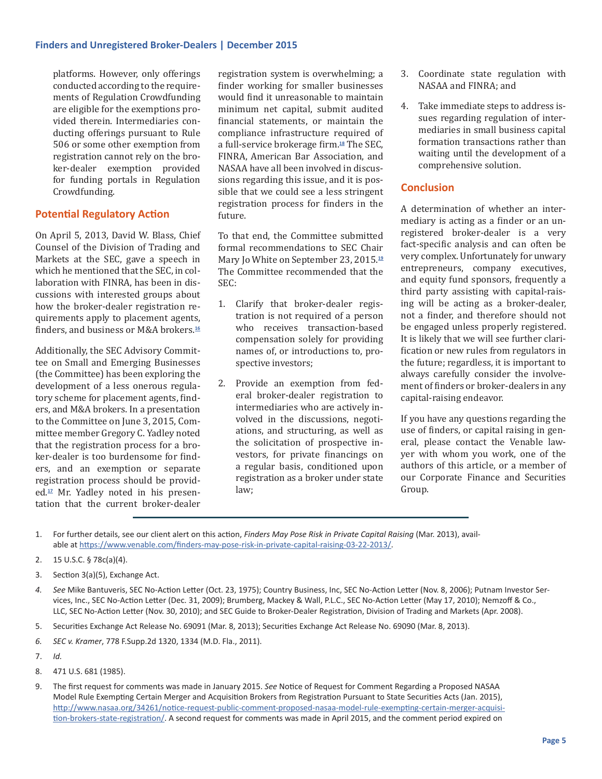platforms. However, only offerings conducted according to the requirements of Regulation Crowdfunding are eligible for the exemptions provided therein. Intermediaries conducting offerings pursuant to Rule 506 or some other exemption from registration cannot rely on the broker-dealer exemption provided for funding portals in Regulation Crowdfunding.

# **Potential Regulatory Action**

On April 5, 2013, David W. Blass, Chief Counsel of the Division of Trading and Markets at the SEC, gave a speech in which he mentioned that the SEC, in collaboration with FINRA, has been in discussions with interested groups about how the broker-dealer registration requirements apply to placement agents, finders, and business or M&A brokers.**[16](#page-5-6)**

Additionally, the SEC Advisory Committee on Small and Emerging Businesses (the Committee) has been exploring the development of a less onerous regulatory scheme for placement agents, finders, and M&A brokers. In a presentation to the Committee on June 3, 2015, Committee member Gregory C. Yadley noted that the registration process for a broker-dealer is too burdensome for finders, and an exemption or separate registration process should be provided.**[17](#page-5-7)** Mr. Yadley noted in his presentation that the current broker-dealer registration system is overwhelming; a finder working for smaller businesses would find it unreasonable to maintain minimum net capital, submit audited financial statements, or maintain the compliance infrastructure required of a full-service brokerage firm.**[18](#page-5-8)** The SEC, FINRA, American Bar Association, and NASAA have all been involved in discussions regarding this issue, and it is possible that we could see a less stringent registration process for finders in the future.

To that end, the Committee submitted formal recommendations to SEC Chair Mary Jo White on September 23, 2015.**[19](#page-5-9)** The Committee recommended that the SEC:

- 1. Clarify that broker-dealer registration is not required of a person who receives transaction-based compensation solely for providing names of, or introductions to, prospective investors;
- 2. Provide an exemption from federal broker-dealer registration to intermediaries who are actively involved in the discussions, negotiations, and structuring, as well as the solicitation of prospective investors, for private financings on a regular basis, conditioned upon registration as a broker under state law;
- 3. Coordinate state regulation with NASAA and FINRA; and
- 4. Take immediate steps to address issues regarding regulation of intermediaries in small business capital formation transactions rather than waiting until the development of a comprehensive solution.

# **Conclusion**

A determination of whether an intermediary is acting as a finder or an unregistered broker-dealer is a very fact-specific analysis and can often be very complex. Unfortunately for unwary entrepreneurs, company executives, and equity fund sponsors, frequently a third party assisting with capital-raising will be acting as a broker-dealer, not a finder, and therefore should not be engaged unless properly registered. It is likely that we will see further clarification or new rules from regulators in the future; regardless, it is important to always carefully consider the involvement of finders or broker-dealers in any capital-raising endeavor.

If you have any questions regarding the use of finders, or capital raising in general, please contact the Venable lawyer with whom you work, one of the authors of this article, or a member of our Corporate Finance and Securities Group.

- <span id="page-4-0"></span>1. For further details, see our client alert on this action, *Finders May Pose Risk in Private Capital Raising* (Mar. 2013), available at [https://www.venable.com/finders-may-pose-risk-in-private-capital-raising-03-22-2013/.](https://www.venable.com/finders-may-pose-risk-in-private-capital-raising-03-22-2013/)
- <span id="page-4-1"></span>2. 15 U.S.C. § 78c(a)(4).
- <span id="page-4-2"></span>3. Section 3(a)(5), Exchange Act.
- <span id="page-4-3"></span>*4. See* Mike Bantuveris, SEC No-Action Letter (Oct. 23, 1975); Country Business, Inc, SEC No-Action Letter (Nov. 8, 2006); Putnam Investor Services, Inc., SEC No-Action Letter (Dec. 31, 2009); Brumberg, Mackey & Wall, P.L.C., SEC No-Action Letter (May 17, 2010); Nemzoff & Co., LLC, SEC No-Action Letter (Nov. 30, 2010); and SEC Guide to Broker-Dealer Registration, Division of Trading and Markets (Apr. 2008).
- <span id="page-4-4"></span>5. Securities Exchange Act Release No. 69091 (Mar. 8, 2013); Securities Exchange Act Release No. 69090 (Mar. 8, 2013).
- <span id="page-4-5"></span>*6. SEC v. Kramer*, 778 F.Supp.2d 1320, 1334 (M.D. Fla., 2011).
- <span id="page-4-6"></span>7. *Id.*
- <span id="page-4-7"></span>8. 471 U.S. 681 (1985).
- <span id="page-4-8"></span>9. The first request for comments was made in January 2015. *See* Notice of Request for Comment Regarding a Proposed NASAA Model Rule Exempting Certain Merger and Acquisition Brokers from Registration Pursuant to State Securities Acts (Jan. 2015), [http://www.nasaa.org/34261/notice-request-public-comment-proposed-nasaa-model-rule-exempting-certain-merger-acquisi](http://www.nasaa.org/34261/notice-request-public-comment-proposed-nasaa-model-rule-exempting-certain-merger-acquisition-brokers-state-registration/)[tion-brokers-state-registration/](http://www.nasaa.org/34261/notice-request-public-comment-proposed-nasaa-model-rule-exempting-certain-merger-acquisition-brokers-state-registration/). A second request for comments was made in April 2015, and the comment period expired on